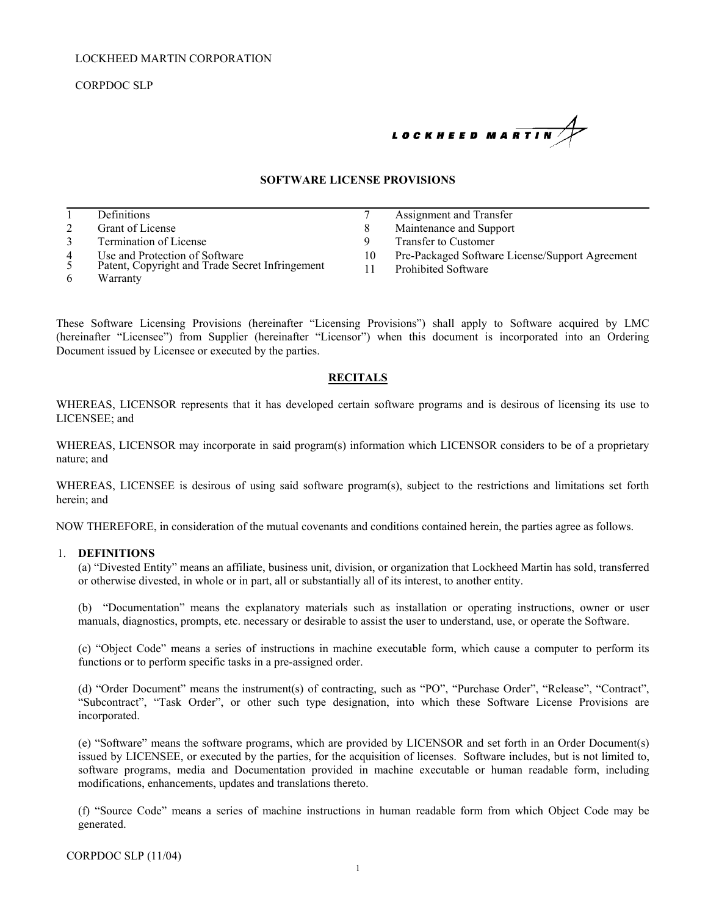#### LOCKHEED MARTIN CORPORATION

CORPDOC SLP



### **SOFTWARE LICENSE PROVISIONS**

1 Definitions

- 2 Grant of License
- 3 Termination of License
- 4 Use and Protection of Software<br>5 Patent. Copyright and Trade Sec
- Patent, Copyright and Trade Secret Infringement
- 6 Warranty
- 7 Assignment and Transfer
- 8 Maintenance and Support
- 9 Transfer to Customer
- 10 Pre-Packaged Software License/Support Agreement
- 11 Prohibited Software

These Software Licensing Provisions (hereinafter "Licensing Provisions") shall apply to Software acquired by LMC (hereinafter "Licensee") from Supplier (hereinafter "Licensor") when this document is incorporated into an Ordering Document issued by Licensee or executed by the parties.

# **RECITALS**

WHEREAS, LICENSOR represents that it has developed certain software programs and is desirous of licensing its use to LICENSEE; and

WHEREAS, LICENSOR may incorporate in said program(s) information which LICENSOR considers to be of a proprietary nature; and

WHEREAS, LICENSEE is desirous of using said software program(s), subject to the restrictions and limitations set forth herein; and

NOW THEREFORE, in consideration of the mutual covenants and conditions contained herein, the parties agree as follows.

### 1. **DEFINITIONS**

(a) "Divested Entity" means an affiliate, business unit, division, or organization that Lockheed Martin has sold, transferred or otherwise divested, in whole or in part, all or substantially all of its interest, to another entity.

(b) "Documentation" means the explanatory materials such as installation or operating instructions, owner or user manuals, diagnostics, prompts, etc. necessary or desirable to assist the user to understand, use, or operate the Software.

(c) "Object Code" means a series of instructions in machine executable form, which cause a computer to perform its functions or to perform specific tasks in a pre-assigned order.

(d) "Order Document" means the instrument(s) of contracting, such as "PO", "Purchase Order", "Release", "Contract", "Subcontract", "Task Order", or other such type designation, into which these Software License Provisions are incorporated.

(e) "Software" means the software programs, which are provided by LICENSOR and set forth in an Order Document(s) issued by LICENSEE, or executed by the parties, for the acquisition of licenses. Software includes, but is not limited to, software programs, media and Documentation provided in machine executable or human readable form, including modifications, enhancements, updates and translations thereto.

 (f) "Source Code" means a series of machine instructions in human readable form from which Object Code may be generated.

CORPDOC SLP (11/04)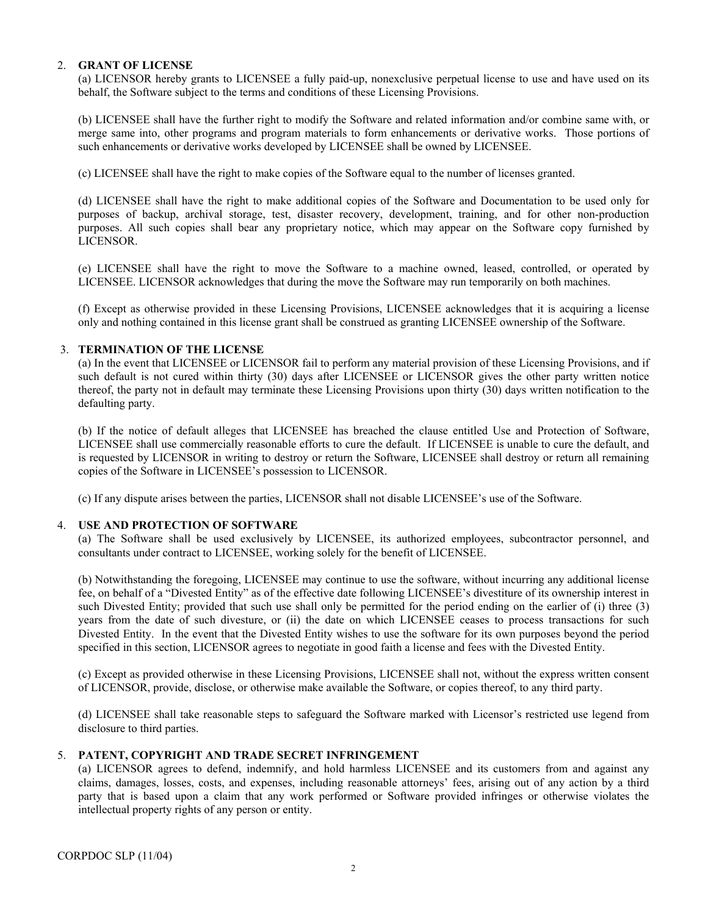## 2. **GRANT OF LICENSE**

(a) LICENSOR hereby grants to LICENSEE a fully paid-up, nonexclusive perpetual license to use and have used on its behalf, the Software subject to the terms and conditions of these Licensing Provisions.

(b) LICENSEE shall have the further right to modify the Software and related information and/or combine same with, or merge same into, other programs and program materials to form enhancements or derivative works. Those portions of such enhancements or derivative works developed by LICENSEE shall be owned by LICENSEE.

(c) LICENSEE shall have the right to make copies of the Software equal to the number of licenses granted.

(d) LICENSEE shall have the right to make additional copies of the Software and Documentation to be used only for purposes of backup, archival storage, test, disaster recovery, development, training, and for other non-production purposes. All such copies shall bear any proprietary notice, which may appear on the Software copy furnished by LICENSOR.

(e) LICENSEE shall have the right to move the Software to a machine owned, leased, controlled, or operated by LICENSEE. LICENSOR acknowledges that during the move the Software may run temporarily on both machines.

(f) Except as otherwise provided in these Licensing Provisions, LICENSEE acknowledges that it is acquiring a license only and nothing contained in this license grant shall be construed as granting LICENSEE ownership of the Software.

# 3. **TERMINATION OF THE LICENSE**

(a) In the event that LICENSEE or LICENSOR fail to perform any material provision of these Licensing Provisions, and if such default is not cured within thirty (30) days after LICENSEE or LICENSOR gives the other party written notice thereof, the party not in default may terminate these Licensing Provisions upon thirty (30) days written notification to the defaulting party.

(b) If the notice of default alleges that LICENSEE has breached the clause entitled Use and Protection of Software, LICENSEE shall use commercially reasonable efforts to cure the default. If LICENSEE is unable to cure the default, and is requested by LICENSOR in writing to destroy or return the Software, LICENSEE shall destroy or return all remaining copies of the Software in LICENSEE's possession to LICENSOR.

(c) If any dispute arises between the parties, LICENSOR shall not disable LICENSEE's use of the Software.

#### 4. **USE AND PROTECTION OF SOFTWARE**

(a) The Software shall be used exclusively by LICENSEE, its authorized employees, subcontractor personnel, and consultants under contract to LICENSEE, working solely for the benefit of LICENSEE.

(b) Notwithstanding the foregoing, LICENSEE may continue to use the software, without incurring any additional license fee, on behalf of a "Divested Entity" as of the effective date following LICENSEE's divestiture of its ownership interest in such Divested Entity; provided that such use shall only be permitted for the period ending on the earlier of (i) three (3) years from the date of such divesture, or (ii) the date on which LICENSEE ceases to process transactions for such Divested Entity. In the event that the Divested Entity wishes to use the software for its own purposes beyond the period specified in this section, LICENSOR agrees to negotiate in good faith a license and fees with the Divested Entity.

(c) Except as provided otherwise in these Licensing Provisions, LICENSEE shall not, without the express written consent of LICENSOR, provide, disclose, or otherwise make available the Software, or copies thereof, to any third party.

(d) LICENSEE shall take reasonable steps to safeguard the Software marked with Licensor's restricted use legend from disclosure to third parties.

### 5. **PATENT, COPYRIGHT AND TRADE SECRET INFRINGEMENT**

(a) LICENSOR agrees to defend, indemnify, and hold harmless LICENSEE and its customers from and against any claims, damages, losses, costs, and expenses, including reasonable attorneys' fees, arising out of any action by a third party that is based upon a claim that any work performed or Software provided infringes or otherwise violates the intellectual property rights of any person or entity.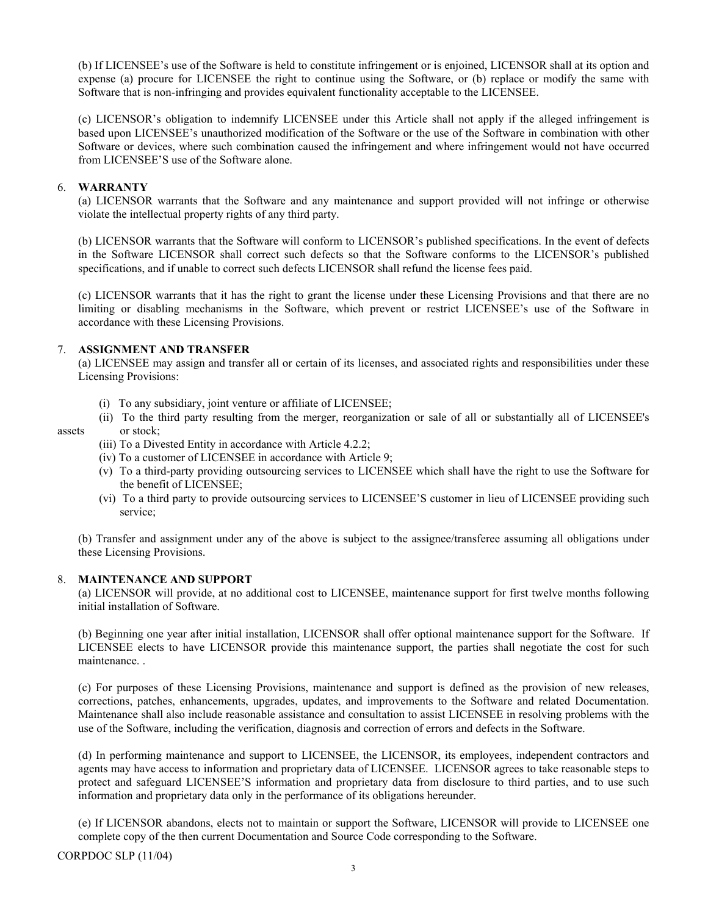(b) If LICENSEE's use of the Software is held to constitute infringement or is enjoined, LICENSOR shall at its option and expense (a) procure for LICENSEE the right to continue using the Software, or (b) replace or modify the same with Software that is non-infringing and provides equivalent functionality acceptable to the LICENSEE.

(c) LICENSOR's obligation to indemnify LICENSEE under this Article shall not apply if the alleged infringement is based upon LICENSEE's unauthorized modification of the Software or the use of the Software in combination with other Software or devices, where such combination caused the infringement and where infringement would not have occurred from LICENSEE'S use of the Software alone.

# 6. **WARRANTY**

(a) LICENSOR warrants that the Software and any maintenance and support provided will not infringe or otherwise violate the intellectual property rights of any third party.

(b) LICENSOR warrants that the Software will conform to LICENSOR's published specifications. In the event of defects in the Software LICENSOR shall correct such defects so that the Software conforms to the LICENSOR's published specifications, and if unable to correct such defects LICENSOR shall refund the license fees paid.

(c) LICENSOR warrants that it has the right to grant the license under these Licensing Provisions and that there are no limiting or disabling mechanisms in the Software, which prevent or restrict LICENSEE's use of the Software in accordance with these Licensing Provisions.

# 7. **ASSIGNMENT AND TRANSFER**

(a) LICENSEE may assign and transfer all or certain of its licenses, and associated rights and responsibilities under these Licensing Provisions:

- (i) To any subsidiary, joint venture or affiliate of LICENSEE;
- (ii) To the third party resulting from the merger, reorganization or sale of all or substantially all of LICENSEE's assets or stock;

- (iii) To a Divested Entity in accordance with Article 4.2.2;
- (iv) To a customer of LICENSEE in accordance with Article 9;
- (v) To a third-party providing outsourcing services to LICENSEE which shall have the right to use the Software for the benefit of LICENSEE;
- (vi) To a third party to provide outsourcing services to LICENSEE'S customer in lieu of LICENSEE providing such service;

 (b) Transfer and assignment under any of the above is subject to the assignee/transferee assuming all obligations under these Licensing Provisions.

# 8. **MAINTENANCE AND SUPPORT**

(a) LICENSOR will provide, at no additional cost to LICENSEE, maintenance support for first twelve months following initial installation of Software.

(b) Beginning one year after initial installation, LICENSOR shall offer optional maintenance support for the Software. If LICENSEE elects to have LICENSOR provide this maintenance support, the parties shall negotiate the cost for such maintenance. .

(c) For purposes of these Licensing Provisions, maintenance and support is defined as the provision of new releases, corrections, patches, enhancements, upgrades, updates, and improvements to the Software and related Documentation. Maintenance shall also include reasonable assistance and consultation to assist LICENSEE in resolving problems with the use of the Software, including the verification, diagnosis and correction of errors and defects in the Software.

(d) In performing maintenance and support to LICENSEE, the LICENSOR, its employees, independent contractors and agents may have access to information and proprietary data of LICENSEE. LICENSOR agrees to take reasonable steps to protect and safeguard LICENSEE'S information and proprietary data from disclosure to third parties, and to use such information and proprietary data only in the performance of its obligations hereunder.

(e) If LICENSOR abandons, elects not to maintain or support the Software, LICENSOR will provide to LICENSEE one complete copy of the then current Documentation and Source Code corresponding to the Software.

CORPDOC SLP (11/04)